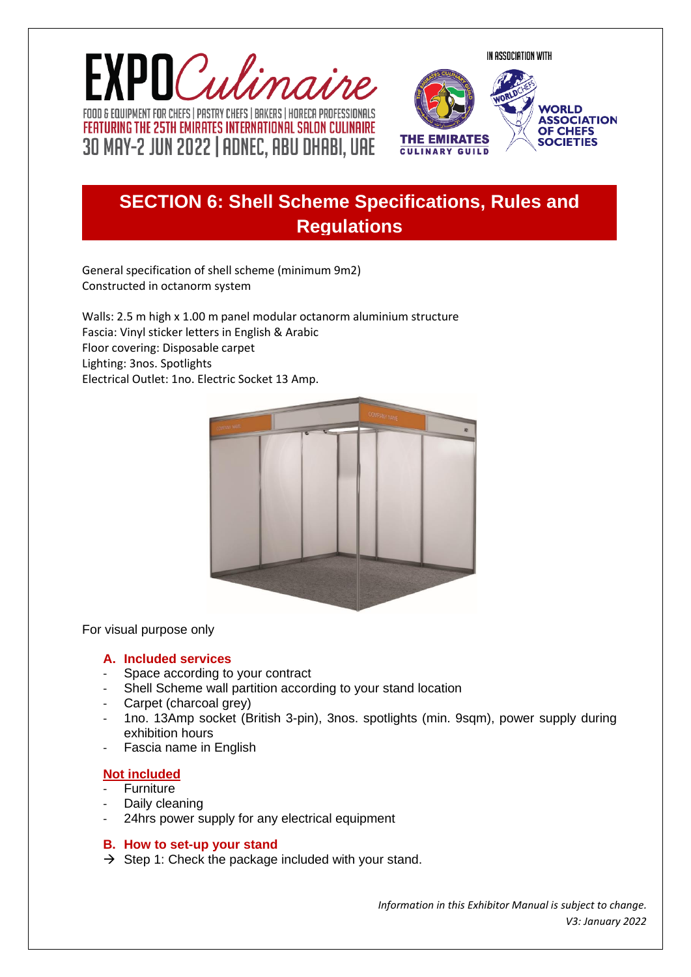IN ASSOCIATION WITH





# **8.1** SECTION 6: Shell Scheme Specifications, Rules and **Regulations**

General specification of shell scheme (minimum 9m2) Constructed in octanorm system

Walls: 2.5 m high x 1.00 m panel modular octanorm aluminium structure Fascia: Vinyl sticker letters in English & Arabic Floor covering: Disposable carpet Lighting: 3nos. Spotlights Electrical Outlet: 1no. Electric Socket 13 Amp.



For visual purpose only

#### **A. Included services**

- Space according to your contract
- Shell Scheme wall partition according to your stand location
- Carpet (charcoal grey)
- 1no. 13Amp socket (British 3-pin), 3nos. spotlights (min. 9sqm), power supply during exhibition hours
- Fascia name in English

#### **Not included**

- **Furniture**
- Daily cleaning
- 24hrs power supply for any electrical equipment

#### **B. How to set-up your stand**

 $\rightarrow$  Step 1: Check the package included with your stand.